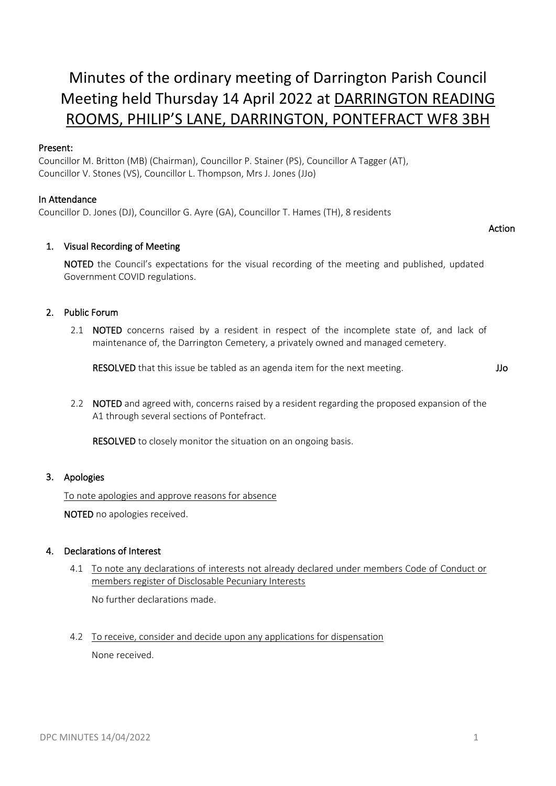## Minutes of the ordinary meeting of Darrington Parish Council Meeting held Thursday 14 April 2022 at DARRINGTON READING ROOMS, PHILIP'S LANE, DARRINGTON, PONTEFRACT WF8 3BH

#### Present:

Councillor M. Britton (MB) (Chairman), Councillor P. Stainer (PS), Councillor A Tagger (AT), Councillor V. Stones (VS), Councillor L. Thompson, Mrs J. Jones (JJo)

#### In Attendance

Councillor D. Jones (DJ), Councillor G. Ayre (GA), Councillor T. Hames (TH), 8 residents

#### 1. Visual Recording of Meeting

NOTED the Council's expectations for the visual recording of the meeting and published, updated Government COVID regulations.

#### 2. Public Forum

2.1 **NOTED** concerns raised by a resident in respect of the incomplete state of, and lack of maintenance of, the Darrington Cemetery, a privately owned and managed cemetery.

RESOLVED that this issue be tabled as an agenda item for the next meeting.

JJo

Action

2.2 NOTED and agreed with, concerns raised by a resident regarding the proposed expansion of the A1 through several sections of Pontefract.

RESOLVED to closely monitor the situation on an ongoing basis.

#### 3. Apologies

To note apologies and approve reasons for absence

NOTED no apologies received.

#### 4. Declarations of Interest

4.1 To note any declarations of interests not already declared under members Code of Conduct or members register of Disclosable Pecuniary Interests

No further declarations made.

4.2 To receive, consider and decide upon any applications for dispensation None received.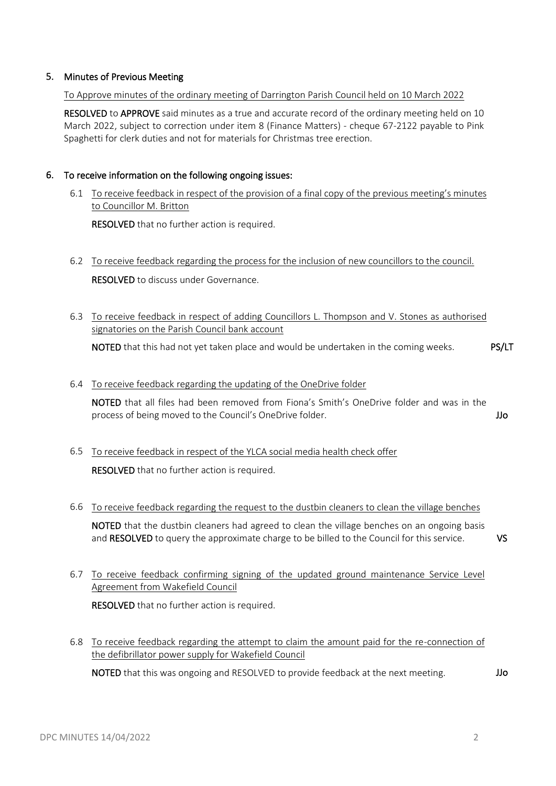#### 5. Minutes of Previous Meeting

To Approve minutes of the ordinary meeting of Darrington Parish Council held on 10 March 2022

RESOLVED to APPROVE said minutes as a true and accurate record of the ordinary meeting held on 10 March 2022, subject to correction under item 8 (Finance Matters) - cheque 67-2122 payable to Pink Spaghetti for clerk duties and not for materials for Christmas tree erection.

#### 6. To receive information on the following ongoing issues:

6.1 To receive feedback in respect of the provision of a final copy of the previous meeting's minutes to Councillor M. Britton

RESOLVED that no further action is required.

- 6.2 To receive feedback regarding the process for the inclusion of new councillors to the council. RESOLVED to discuss under Governance.
- 6.3 To receive feedback in respect of adding Councillors L. Thompson and V. Stones as authorised signatories on the Parish Council bank account

NOTED that this had not yet taken place and would be undertaken in the coming weeks. PS/LT

#### 6.4 To receive feedback regarding the updating of the OneDrive folder

NOTED that all files had been removed from Fiona's Smith's OneDrive folder and was in the process of being moved to the Council's OneDrive folder. JJo

# 6.5 To receive feedback in respect of the YLCA social media health check offer

RESOLVED that no further action is required.

- 6.6 To receive feedback regarding the request to the dustbin cleaners to clean the village benches NOTED that the dustbin cleaners had agreed to clean the village benches on an ongoing basis and RESOLVED to query the approximate charge to be billed to the Council for this service.
- 6.7 To receive feedback confirming signing of the updated ground maintenance Service Level Agreement from Wakefield Council RESOLVED that no further action is required.
- 6.8 To receive feedback regarding the attempt to claim the amount paid for the re-connection of the defibrillator power supply for Wakefield Council

NOTED that this was ongoing and RESOLVED to provide feedback at the next meeting. JJo

VS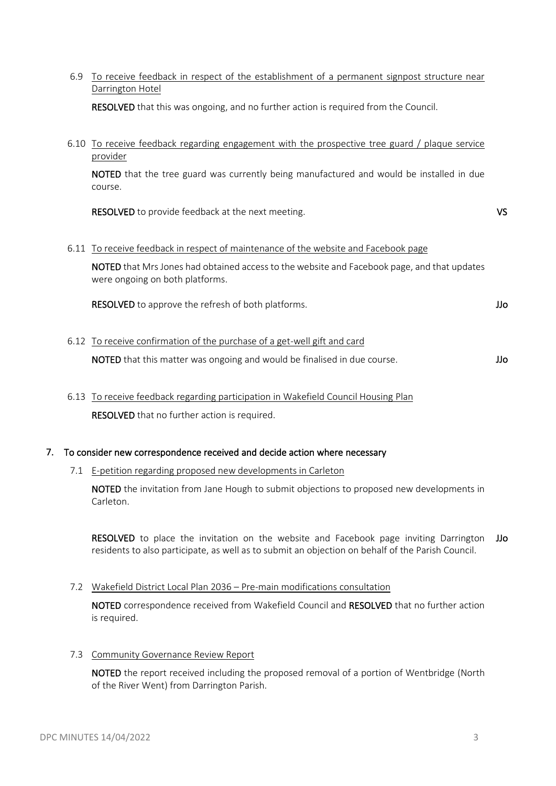Darrington Hotel RESOLVED that this was ongoing, and no further action is required from the Council. 6.10 To receive feedback regarding engagement with the prospective tree guard / plaque service provider NOTED that the tree guard was currently being manufactured and would be installed in due course. RESOLVED to provide feedback at the next meeting. VS 6.11 To receive feedback in respect of maintenance of the website and Facebook page NOTED that Mrs Jones had obtained access to the website and Facebook page, and that updates were ongoing on both platforms. RESOLVED to approve the refresh of both platforms. JJo 6.12 To receive confirmation of the purchase of a get-well gift and card NOTED that this matter was ongoing and would be finalised in due course. Juncom that this matter was ongoing and would be finalised in due course.

6.9 To receive feedback in respect of the establishment of a permanent signpost structure near

6.13 To receive feedback regarding participation in Wakefield Council Housing Plan RESOLVED that no further action is required.

#### 7. To consider new correspondence received and decide action where necessary

#### 7.1 E-petition regarding proposed new developments in Carleton

NOTED the invitation from Jane Hough to submit objections to proposed new developments in Carleton.

RESOLVED to place the invitation on the website and Facebook page inviting Darrington JJo residents to also participate, as well as to submit an objection on behalf of the Parish Council.

7.2 Wakefield District Local Plan 2036 – Pre-main modifications consultation

NOTED correspondence received from Wakefield Council and RESOLVED that no further action is required.

#### 7.3 Community Governance Review Report

NOTED the report received including the proposed removal of a portion of Wentbridge (North of the River Went) from Darrington Parish.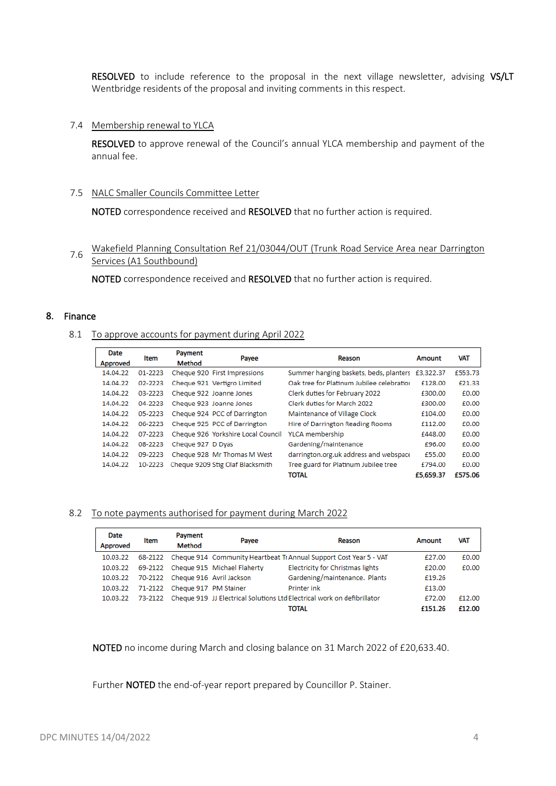RESOLVED to include reference to the proposal in the next village newsletter, advising VS/LT Wentbridge residents of the proposal and inviting comments in this respect.

#### 7.4 Membership renewal to YLCA

RESOLVED to approve renewal of the Council's annual YLCA membership and payment of the annual fee.

#### 7.5 NALC Smaller Councils Committee Letter

NOTED correspondence received and RESOLVED that no further action is required.

### 7.6 Wakefield Planning Consultation Ref 21/03044/OUT (Trunk Road Service Area near Darrington Services (A1 Southbound)

NOTED correspondence received and RESOLVED that no further action is required.

#### 8. Finance

#### 8.1 To approve accounts for payment during April 2022

| <b>Date</b><br>Approved | Item    | Payment<br><b>Method</b> | Payee                              | Reason                                           | Amount    | <b>VAT</b> |
|-------------------------|---------|--------------------------|------------------------------------|--------------------------------------------------|-----------|------------|
| 14.04.22                | 01-2223 |                          | Cheque 920 First Impressions       | Summer hanging baskets, beds, planters £3,322.37 |           | £553.73    |
| 14.04.22                | 02-2223 |                          | Cheque 921 Vertigro Limited        | Oak tree for Platinum Jubilee celebration        | £128.00   | £21.33     |
| 14.04.22                | 03-2223 |                          | Cheque 922 Joanne Jones            | Clerk duties for February 2022                   | £300.00   | £0.00      |
| 14.04.22                | 04-2223 |                          | Cheque 923 Joanne Jones            | Clerk duties for March 2022                      | £300.00   | £0.00      |
| 14.04.22                | 05-2223 |                          | Cheque 924 PCC of Darrington       | Maintenance of Village Clock                     | £104.00   | £0.00      |
| 14.04.22                | 06-2223 |                          | Cheque 925 PCC of Darrington       | Hire of Darrington Reading Rooms                 | £112.00   | £0.00      |
| 14.04.22                | 07-2223 |                          | Cheque 926 Yorkshire Local Council | YLCA membership                                  | £448.00   | £0.00      |
| 14.04.22                | 08-2223 | Cheque 927 D Dyas        |                                    | Gardening/maintenance                            | £96.00    | £0.00      |
| 14.04.22                | 09-2223 |                          | Cheque 928 Mr Thomas M West        | darrington.org.uk address and webspace           | £55.00    | £0.00      |
| 14.04.22                | 10-2223 |                          | Cheque 9209 Stig Olaf Blacksmith   | Tree guard for Platinum Jubilee tree             | £794.00   | £0.00      |
|                         |         |                          |                                    | <b>TOTAL</b>                                     | £5,659.37 | £575.06    |

#### 8.2 To note payments authorised for payment during March 2022

| <b>Date</b><br>Approved | Item | Payment<br><b>Method</b>         | Payee                               | Reason                                                                          | Amount  | <b>VAT</b> |
|-------------------------|------|----------------------------------|-------------------------------------|---------------------------------------------------------------------------------|---------|------------|
| 10.03.22                |      |                                  |                                     | 68-2122 Cheque 914 Community Heartbeat Tr Annual Support Cost Year 5 - VAT      | £27.00  | £0.00      |
| 10.03.22                |      |                                  | 69-2122 Cheque 915 Michael Flaherty | Electricity for Christmas lights                                                | £20.00  | £0.00      |
| 10.03.22                |      | 70-2122 Cheque 916 Avril Jackson |                                     | Gardening/maintenance, Plants                                                   | £19.26  |            |
| 10.03.22                |      | 71-2122 Cheque 917 PM Stainer    |                                     | Printer ink                                                                     | £13.00  |            |
| 10.03.22                |      |                                  |                                     | 73-2122 Cheque 919 JJ Electrical Solutions Ltd Electrical work on defibrillator | £72.00  | £12.00     |
|                         |      |                                  |                                     | TOTAL                                                                           | £151.26 | £12.00     |

NOTED no income during March and closing balance on 31 March 2022 of £20,633.40.

Further **NOTED** the end-of-year report prepared by Councillor P. Stainer.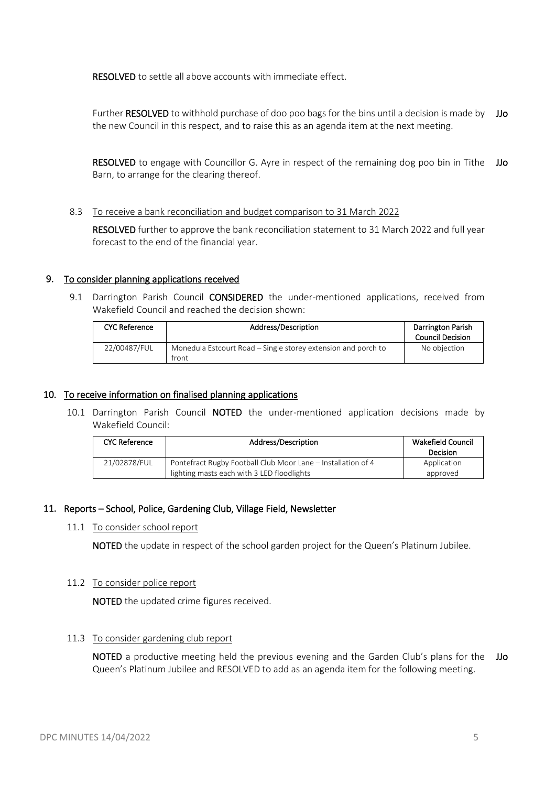RESOLVED to settle all above accounts with immediate effect.

Further RESOLVED to withhold purchase of doo poo bags for the bins until a decision is made by JJo the new Council in this respect, and to raise this as an agenda item at the next meeting.

RESOLVED to engage with Councillor G. Ayre in respect of the remaining dog poo bin in Tithe Barn, to arrange for the clearing thereof. JJo

8.3 To receive a bank reconciliation and budget comparison to 31 March 2022

RESOLVED further to approve the bank reconciliation statement to 31 March 2022 and full year forecast to the end of the financial year.

#### 9. To consider planning applications received

9.1 Darrington Parish Council CONSIDERED the under-mentioned applications, received from Wakefield Council and reached the decision shown:

| <b>CYC Reference</b> | Address/Description                                                    | Darrington Parish<br><b>Council Decision</b> |
|----------------------|------------------------------------------------------------------------|----------------------------------------------|
| 22/00487/FUL         | Monedula Estcourt Road – Single storey extension and porch to<br>front | No objection                                 |

#### 10. To receive information on finalised planning applications

10.1 Darrington Parish Council NOTED the under-mentioned application decisions made by Wakefield Council:

| <b>CYC Reference</b> | Address/Description                                                                                        | Wakefield Council<br><b>Decision</b> |
|----------------------|------------------------------------------------------------------------------------------------------------|--------------------------------------|
| 21/02878/FUL         | Pontefract Rugby Football Club Moor Lane – Installation of 4<br>lighting masts each with 3 LED floodlights | Application<br>approved              |

#### 11. Reports – School, Police, Gardening Club, Village Field, Newsletter

#### 11.1 To consider school report

NOTED the update in respect of the school garden project for the Queen's Platinum Jubilee.

#### 11.2 To consider police report

NOTED the updated crime figures received.

#### 11.3 To consider gardening club report

NOTED a productive meeting held the previous evening and the Garden Club's plans for the JJo Queen's Platinum Jubilee and RESOLVED to add as an agenda item for the following meeting.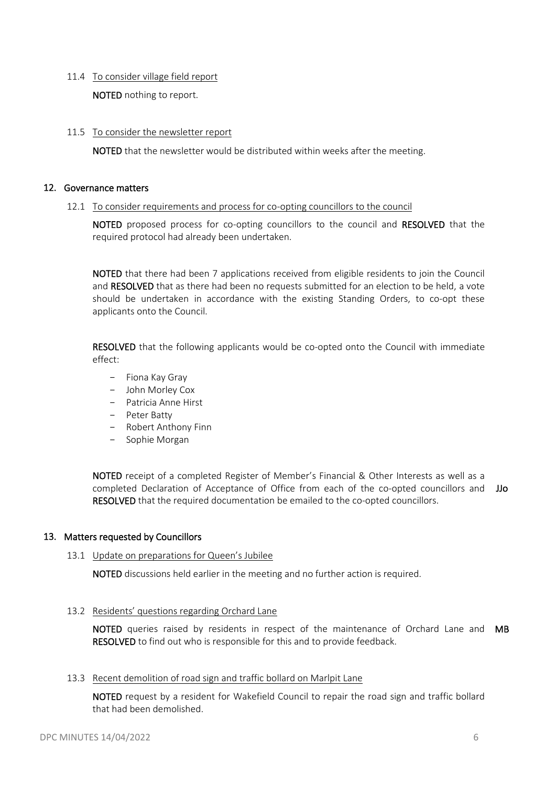#### 11.4 To consider village field report

NOTED nothing to report.

#### 11.5 To consider the newsletter report

NOTED that the newsletter would be distributed within weeks after the meeting.

#### 12. Governance matters

#### 12.1 To consider requirements and process for co-opting councillors to the council

NOTED proposed process for co-opting councillors to the council and RESOLVED that the required protocol had already been undertaken.

NOTED that there had been 7 applications received from eligible residents to join the Council and RESOLVED that as there had been no requests submitted for an election to be held, a vote should be undertaken in accordance with the existing Standing Orders, to co-opt these applicants onto the Council.

RESOLVED that the following applicants would be co-opted onto the Council with immediate effect:

- Fiona Kay Gray
- John Morley Cox
- Patricia Anne Hirst
- Peter Batty
- Robert Anthony Finn
- Sophie Morgan

NOTED receipt of a completed Register of Member's Financial & Other Interests as well as a completed Declaration of Acceptance of Office from each of the co-opted councillors and JJo RESOLVED that the required documentation be emailed to the co-opted councillors.

#### 13. Matters requested by Councillors

#### 13.1 Update on preparations for Queen's Jubilee

NOTED discussions held earlier in the meeting and no further action is required.

#### 13.2 Residents' questions regarding Orchard Lane

NOTED queries raised by residents in respect of the maintenance of Orchard Lane and MB **RESOLVED** to find out who is responsible for this and to provide feedback.

#### 13.3 Recent demolition of road sign and traffic bollard on Marlpit Lane

NOTED request by a resident for Wakefield Council to repair the road sign and traffic bollard that had been demolished.